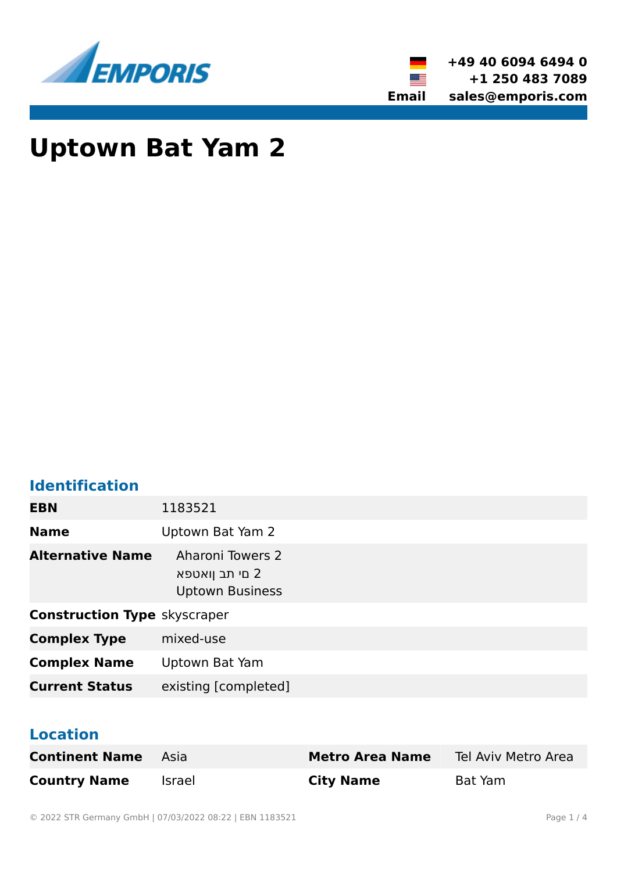



# **Uptown Bat Yam 2**

# **Identification**

| <b>EBN</b>                          | 1183521                                                             |  |
|-------------------------------------|---------------------------------------------------------------------|--|
| <b>Name</b>                         | Uptown Bat Yam 2                                                    |  |
| <b>Alternative Name</b>             | <b>Aharoni Towers 2</b><br>2 םי תב ןואטפא<br><b>Uptown Business</b> |  |
| <b>Construction Type skyscraper</b> |                                                                     |  |
| <b>Complex Type</b>                 | mixed-use                                                           |  |
| <b>Complex Name</b>                 | Uptown Bat Yam                                                      |  |
| <b>Current Status</b>               | existing [completed]                                                |  |

#### **Location**

| <b>Continent Name</b> | - Asia | <b>Metro Area Name</b> | Tel Aviv Metro Area |
|-----------------------|--------|------------------------|---------------------|
| <b>Country Name</b>   | Israel | <b>City Name</b>       | Bat Yam             |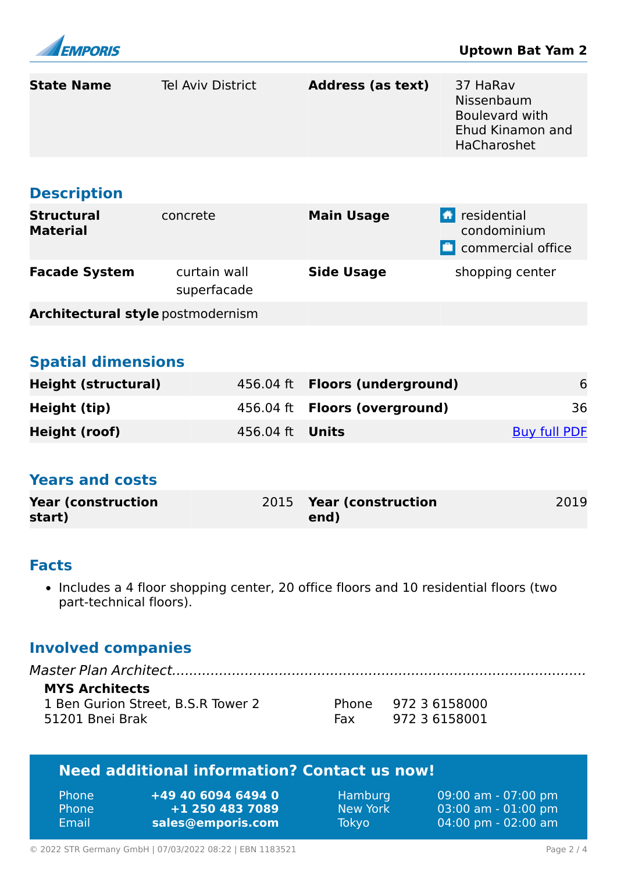

| <b>State Name</b>                                                                                                                | <b>Tel Aviv District</b>                                   | <b>Address (as text)</b>            | 37 HaRav<br>Nissenbaum<br><b>Boulevard with</b><br>Ehud Kinamon and<br>HaCharoshet |  |  |  |
|----------------------------------------------------------------------------------------------------------------------------------|------------------------------------------------------------|-------------------------------------|------------------------------------------------------------------------------------|--|--|--|
| <b>Description</b>                                                                                                               |                                                            |                                     |                                                                                    |  |  |  |
| <b>Structural</b><br><b>Material</b>                                                                                             | concrete                                                   | <b>Main Usage</b>                   | <b>E</b> residential<br>condominium<br><b>C</b> commercial office                  |  |  |  |
| <b>Facade System</b>                                                                                                             | curtain wall<br>superfacade                                | <b>Side Usage</b>                   | shopping center                                                                    |  |  |  |
| <b>Architectural style postmodernism</b>                                                                                         |                                                            |                                     |                                                                                    |  |  |  |
|                                                                                                                                  |                                                            |                                     |                                                                                    |  |  |  |
| <b>Spatial dimensions</b>                                                                                                        |                                                            |                                     |                                                                                    |  |  |  |
| <b>Height (structural)</b>                                                                                                       | 456.04 ft                                                  | <b>Floors (underground)</b>         | 6                                                                                  |  |  |  |
| Height (tip)                                                                                                                     | 456.04 ft                                                  | <b>Floors (overground)</b>          | 36                                                                                 |  |  |  |
| <b>Height (roof)</b>                                                                                                             | 456.04 ft                                                  | <b>Units</b>                        | <b>Buy full PDF</b>                                                                |  |  |  |
| <b>Years and costs</b><br><b>Year (construction</b><br>start)                                                                    | 2015                                                       | <b>Year (construction</b><br>end)   | 2019                                                                               |  |  |  |
|                                                                                                                                  |                                                            |                                     |                                                                                    |  |  |  |
| <b>Facts</b><br>• Includes a 4 floor shopping center, 20 office floors and 10 residential floors (two<br>part-technical floors). |                                                            |                                     |                                                                                    |  |  |  |
| <b>Involved companies</b>                                                                                                        |                                                            |                                     |                                                                                    |  |  |  |
| <b>MYS Architects</b><br>1 Ben Gurion Street, B.S.R Tower 2<br>Phone 972 3 6158000<br>51201 Bnei Brak<br>972 3 6158001<br>Fax    |                                                            |                                     |                                                                                    |  |  |  |
| <b>Need additional information? Contact us now!</b>                                                                              |                                                            |                                     |                                                                                    |  |  |  |
| Phone<br>Phone<br>Email                                                                                                          | +49 40 6094 6494 0<br>+1 250 483 7089<br>sales@emporis.com | Hamburg<br>New York<br><b>Tokyo</b> | 09:00 am - 07:00 pm<br>03:00 am - 01:00 pm<br>04:00 pm - 02:00 am                  |  |  |  |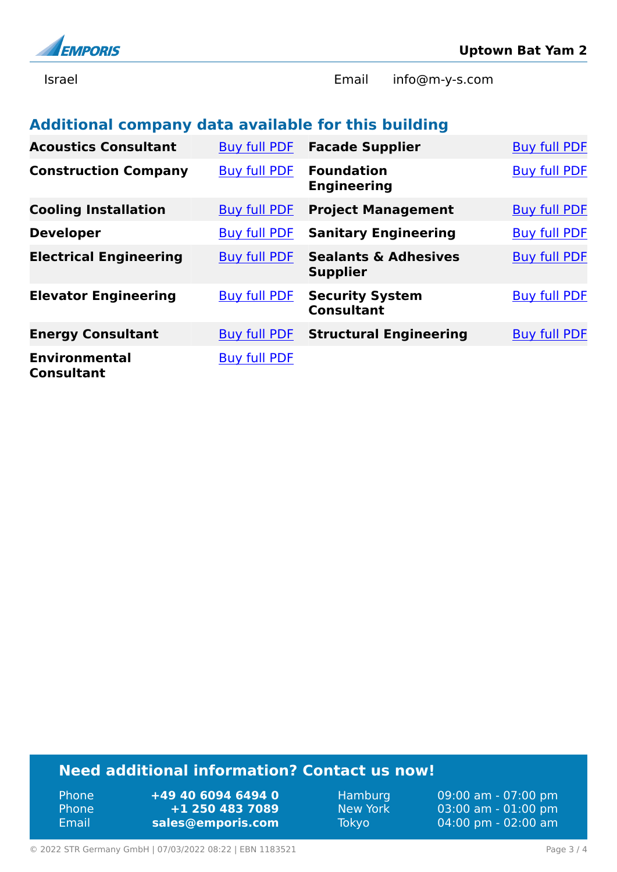

Israel Email info@m-y-s.com

### **Additional company data available for this building**

| <b>Acoustics Consultant</b>               | <b>Buy full PDF</b> | <b>Facade Supplier</b>                             | <b>Buy full PDF</b> |
|-------------------------------------------|---------------------|----------------------------------------------------|---------------------|
| <b>Construction Company</b>               | <b>Buy full PDF</b> | <b>Foundation</b><br><b>Engineering</b>            | <b>Buy full PDF</b> |
| <b>Cooling Installation</b>               | <b>Buy full PDF</b> | <b>Project Management</b>                          | <b>Buy full PDF</b> |
| <b>Developer</b>                          | <b>Buy full PDF</b> | <b>Sanitary Engineering</b>                        | <b>Buy full PDF</b> |
| <b>Electrical Engineering</b>             | <b>Buy full PDF</b> | <b>Sealants &amp; Adhesives</b><br><b>Supplier</b> | <b>Buy full PDF</b> |
| <b>Elevator Engineering</b>               | <b>Buy full PDF</b> | <b>Security System</b><br><b>Consultant</b>        | <b>Buy full PDF</b> |
| <b>Energy Consultant</b>                  | <b>Buy full PDF</b> | <b>Structural Engineering</b>                      | <b>Buy full PDF</b> |
| <b>Environmental</b><br><b>Consultant</b> | <b>Buy full PDF</b> |                                                    |                     |

## **Need additional information? Contact us now!**

Phone **+49 40 6094 6494 0<br>
Phone <b>+1 250 483 7089** Phone **+1 250 483 7089** Email **<sales@emporis.com>**

Hamburg 09:00 am - 07:00 pm<br>New York 03:00 am - 01:00 pm New York 03:00 am - 01:00 pm<br>Tokyo 04:00 pm - 02:00 am 04:00 pm - 02:00 am